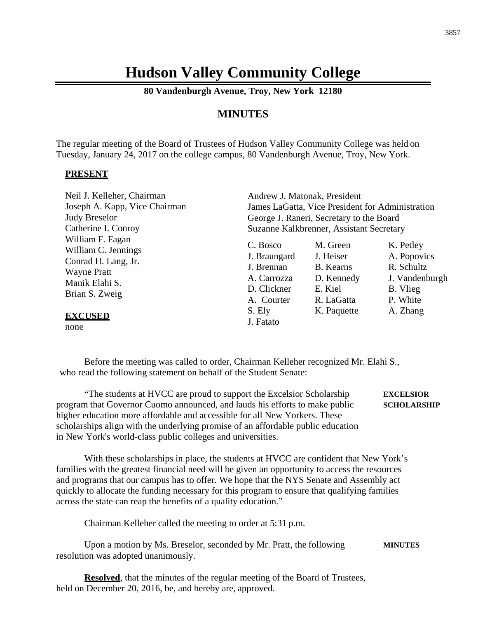# **Hudson Valley Community College**

**80 Vandenburgh Avenue, Troy, New York 12180**

## **MINUTES**

The regular meeting of the Board of Trustees of Hudson Valley Community College was held on Tuesday, January 24, 2017 on the college campus, 80 Vandenburgh Avenue, Troy, New York.

#### **PRESENT**

| Neil J. Kelleher, Chairman                                                                                               | Andrew J. Matonak, President                                                       |                                                                           |                                                                                  |  |
|--------------------------------------------------------------------------------------------------------------------------|------------------------------------------------------------------------------------|---------------------------------------------------------------------------|----------------------------------------------------------------------------------|--|
| Joseph A. Kapp, Vice Chairman                                                                                            | James LaGatta, Vice President for Administration                                   |                                                                           |                                                                                  |  |
| <b>Judy Breselor</b>                                                                                                     | George J. Raneri, Secretary to the Board                                           |                                                                           |                                                                                  |  |
| Catherine I. Conroy                                                                                                      | Suzanne Kalkbrenner, Assistant Secretary                                           |                                                                           |                                                                                  |  |
| William F. Fagan<br>William C. Jennings<br>Conrad H. Lang, Jr.<br><b>Wayne Pratt</b><br>Manik Elahi S.<br>Brian S. Zweig | C. Bosco<br>J. Braungard<br>J. Brennan<br>A. Carrozza<br>D. Clickner<br>A. Courter | M. Green<br>J. Heiser<br>B. Kearns<br>D. Kennedy<br>E. Kiel<br>R. LaGatta | K. Petley<br>A. Popovics<br>R. Schultz<br>J. Vandenburgh<br>B. Vlieg<br>P. White |  |
| <b>EXCUSED</b>                                                                                                           | S. Ely<br>J. Fatato                                                                | K. Paquette                                                               | A. Zhang                                                                         |  |

none

Before the meeting was called to order, Chairman Kelleher recognized Mr. Elahi S., who read the following statement on behalf of the Student Senate:

"The students at HVCC are proud to support the Excelsior Scholarship **EXCELSIOR** program that Governor Cuomo announced, and lauds his efforts to make public **SCHOLARSHIP** higher education more affordable and accessible for all New Yorkers. These scholarships align with the underlying promise of an affordable public education in New York's world-class public colleges and universities.

With these scholarships in place, the students at HVCC are confident that New York's families with the greatest financial need will be given an opportunity to access the resources and programs that our campus has to offer. We hope that the NYS Senate and Assembly act quickly to allocate the funding necessary for this program to ensure that qualifying families across the state can reap the benefits of a quality education."

Chairman Kelleher called the meeting to order at 5:31 p.m.

Upon a motion by Ms. Breselor, seconded by Mr. Pratt, the following **MINUTES** resolution was adopted unanimously.

**Resolved**, that the minutes of the regular meeting of the Board of Trustees, held on December 20, 2016, be, and hereby are, approved.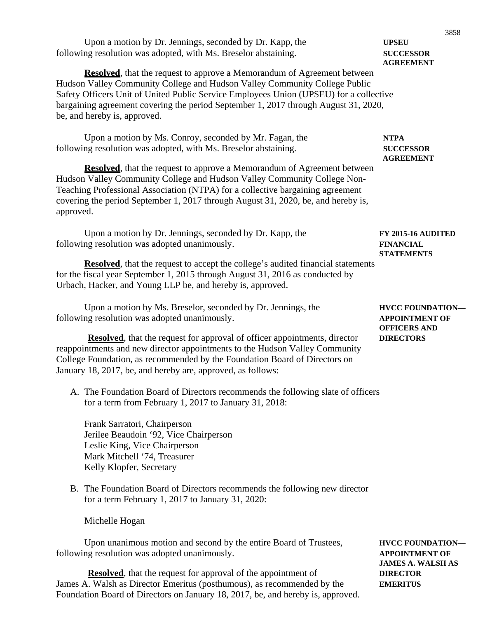| Upon a motion by Dr. Jennings, seconded by Dr. Kapp, the                                                                                                                                                                                                                                                                                                                       | 3858<br><b>UPSEU</b>                                        |
|--------------------------------------------------------------------------------------------------------------------------------------------------------------------------------------------------------------------------------------------------------------------------------------------------------------------------------------------------------------------------------|-------------------------------------------------------------|
| following resolution was adopted, with Ms. Breselor abstaining.                                                                                                                                                                                                                                                                                                                | <b>SUCCESSOR</b><br><b>AGREEMENT</b>                        |
| <b>Resolved</b> , that the request to approve a Memorandum of Agreement between<br>Hudson Valley Community College and Hudson Valley Community College Public<br>Safety Officers Unit of United Public Service Employees Union (UPSEU) for a collective<br>bargaining agreement covering the period September 1, 2017 through August 31, 2020,<br>be, and hereby is, approved. |                                                             |
| Upon a motion by Ms. Conroy, seconded by Mr. Fagan, the<br>following resolution was adopted, with Ms. Breselor abstaining.                                                                                                                                                                                                                                                     | <b>NTPA</b><br><b>SUCCESSOR</b>                             |
| <b>Resolved</b> , that the request to approve a Memorandum of Agreement between<br>Hudson Valley Community College and Hudson Valley Community College Non-<br>Teaching Professional Association (NTPA) for a collective bargaining agreement<br>covering the period September 1, 2017 through August 31, 2020, be, and hereby is,<br>approved.                                | <b>AGREEMENT</b>                                            |
| Upon a motion by Dr. Jennings, seconded by Dr. Kapp, the<br>following resolution was adopted unanimously.                                                                                                                                                                                                                                                                      | FY 2015-16 AUDITED<br><b>FINANCIAL</b><br><b>STATEMENTS</b> |
| <b>Resolved</b> , that the request to accept the college's audited financial statements<br>for the fiscal year September 1, 2015 through August 31, 2016 as conducted by<br>Urbach, Hacker, and Young LLP be, and hereby is, approved.                                                                                                                                         |                                                             |
| Upon a motion by Ms. Breselor, seconded by Dr. Jennings, the<br>following resolution was adopted unanimously.                                                                                                                                                                                                                                                                  | <b>HVCC FOUNDATION-</b><br><b>APPOINTMENT OF</b>            |
| <b>OFFICERS AND</b><br><b>Resolved</b> , that the request for approval of officer appointments, director<br><b>DIRECTORS</b><br>reappointments and new director appointments to the Hudson Valley Community<br>College Foundation, as recommended by the Foundation Board of Directors on<br>January 18, 2017, be, and hereby are, approved, as follows:                       |                                                             |
| A. The Foundation Board of Directors recommends the following slate of officers<br>for a term from February 1, 2017 to January 31, 2018:                                                                                                                                                                                                                                       |                                                             |
| Frank Sarratori, Chairperson<br>Jerilee Beaudoin '92, Vice Chairperson<br>Leslie King, Vice Chairperson<br>Mark Mitchell '74, Treasurer<br>Kelly Klopfer, Secretary                                                                                                                                                                                                            |                                                             |

B. The Foundation Board of Directors recommends the following new director for a term February 1, 2017 to January 31, 2020:

Michelle Hogan

Upon unanimous motion and second by the entire Board of Trustees, **HVCC FOUNDATION** following resolution was adopted unanimously. **APPOINTMENT OF**

**Resolved**, that the request for approval of the appointment of **DIRECTOR** James A. Walsh as Director Emeritus (posthumous), as recommended by the **EMERITUS** Foundation Board of Directors on January 18, 2017, be, and hereby is, approved.

**JAMES A. WALSH AS**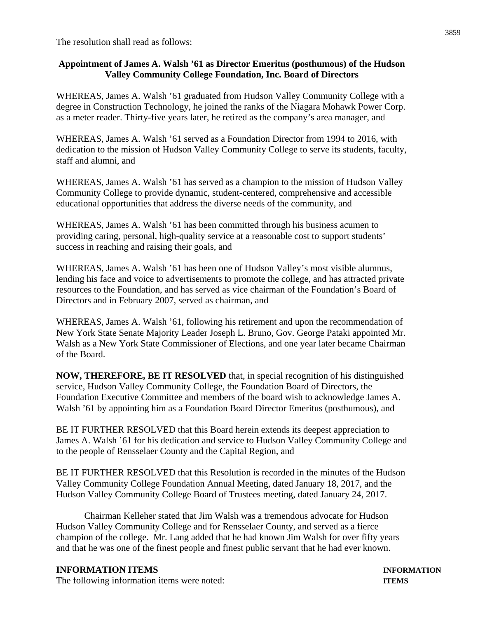The resolution shall read as follows:

### **Appointment of James A. Walsh '61 as Director Emeritus (posthumous) of the Hudson Valley Community College Foundation, Inc. Board of Directors**

WHEREAS, James A. Walsh '61 graduated from Hudson Valley Community College with a degree in Construction Technology, he joined the ranks of the Niagara Mohawk Power Corp. as a meter reader. Thirty-five years later, he retired as the company's area manager, and

WHEREAS, James A. Walsh '61 served as a Foundation Director from 1994 to 2016, with dedication to the mission of Hudson Valley Community College to serve its students, faculty, staff and alumni, and

WHEREAS, James A. Walsh '61 has served as a champion to the mission of Hudson Valley Community College to provide dynamic, student-centered, comprehensive and accessible educational opportunities that address the diverse needs of the community, and

WHEREAS, James A. Walsh '61 has been committed through his business acumen to providing caring, personal, high-quality service at a reasonable cost to support students' success in reaching and raising their goals, and

WHEREAS, James A. Walsh '61 has been one of Hudson Valley's most visible alumnus, lending his face and voice to advertisements to promote the college, and has attracted private resources to the Foundation, and has served as vice chairman of the Foundation's Board of Directors and in February 2007, served as chairman, and

WHEREAS, James A. Walsh '61, following his retirement and upon the recommendation of New York State Senate Majority Leader Joseph L. Bruno, Gov. George Pataki appointed Mr. Walsh as a New York State Commissioner of Elections, and one year later became Chairman of the Board.

**NOW, THEREFORE, BE IT RESOLVED** that, in special recognition of his distinguished service, Hudson Valley Community College, the Foundation Board of Directors, the Foundation Executive Committee and members of the board wish to acknowledge James A. Walsh '61 by appointing him as a Foundation Board Director Emeritus (posthumous), and

BE IT FURTHER RESOLVED that this Board herein extends its deepest appreciation to James A. Walsh '61 for his dedication and service to Hudson Valley Community College and to the people of Rensselaer County and the Capital Region, and

BE IT FURTHER RESOLVED that this Resolution is recorded in the minutes of the Hudson Valley Community College Foundation Annual Meeting, dated January 18, 2017, and the Hudson Valley Community College Board of Trustees meeting, dated January 24, 2017.

Chairman Kelleher stated that Jim Walsh was a tremendous advocate for Hudson Hudson Valley Community College and for Rensselaer County, and served as a fierce champion of the college. Mr. Lang added that he had known Jim Walsh for over fifty years and that he was one of the finest people and finest public servant that he had ever known.

### **INFORMATION ITEMS INFORMATION**

The following information items were noted: **ITEMS**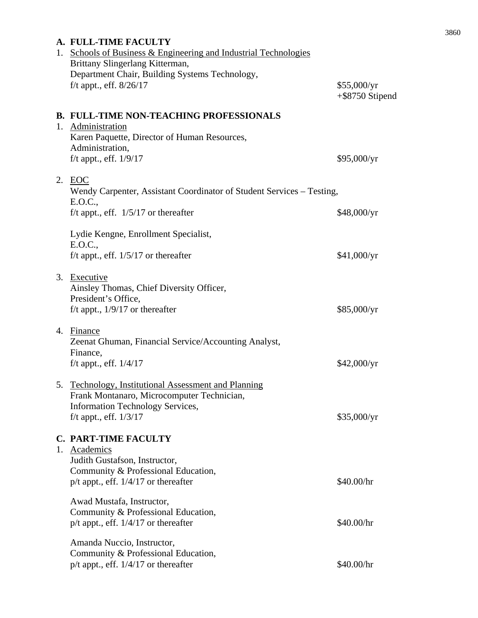| A. FULL-TIME FACULTY                                                                                                                                  |                                   |  |
|-------------------------------------------------------------------------------------------------------------------------------------------------------|-----------------------------------|--|
| 1. Schools of Business & Engineering and Industrial Technologies<br>Brittany Slingerlang Kitterman,<br>Department Chair, Building Systems Technology, |                                   |  |
| f/t appt., eff. 8/26/17                                                                                                                               | \$55,000/yr<br>$+$ \$8750 Stipend |  |
| <b>B. FULL-TIME NON-TEACHING PROFESSIONALS</b>                                                                                                        |                                   |  |
| 1. Administration<br>Karen Paquette, Director of Human Resources,<br>Administration,                                                                  |                                   |  |
| f/t appt., eff. $1/9/17$                                                                                                                              | \$95,000/yr                       |  |
| 2. EOC<br>Wendy Carpenter, Assistant Coordinator of Student Services – Testing,<br>E.O.C.,                                                            |                                   |  |
| f/t appt., eff. $1/5/17$ or thereafter                                                                                                                | \$48,000/yr                       |  |
| Lydie Kengne, Enrollment Specialist,<br>E.O.C.,                                                                                                       |                                   |  |
| f/t appt., eff. $1/5/17$ or thereafter                                                                                                                | \$41,000/yr                       |  |
| 3. Executive<br>Ainsley Thomas, Chief Diversity Officer,<br>President's Office,                                                                       |                                   |  |
| f/t appt., $1/9/17$ or thereafter                                                                                                                     | \$85,000/yr                       |  |
| 4. Finance<br>Zeenat Ghuman, Financial Service/Accounting Analyst,<br>Finance,                                                                        |                                   |  |
| f/t appt., eff. $1/4/17$                                                                                                                              | \$42,000/yr                       |  |
| 5. Technology, Institutional Assessment and Planning<br>Frank Montanaro, Microcomputer Technician,<br><b>Information Technology Services,</b>         |                                   |  |
| f/t appt., eff. $1/3/17$                                                                                                                              | \$35,000/yr                       |  |
| <b>C. PART-TIME FACULTY</b><br>1. Academics                                                                                                           |                                   |  |
| Judith Gustafson, Instructor,<br>Community & Professional Education,<br>$p/t$ appt., eff. $1/4/17$ or thereafter                                      | \$40.00/hr                        |  |
| Awad Mustafa, Instructor,<br>Community & Professional Education,<br>$p/t$ appt., eff. $1/4/17$ or thereafter                                          | \$40.00/hr                        |  |
| Amanda Nuccio, Instructor,<br>Community & Professional Education,<br>$p/t$ appt., eff. $1/4/17$ or thereafter                                         | \$40.00/hr                        |  |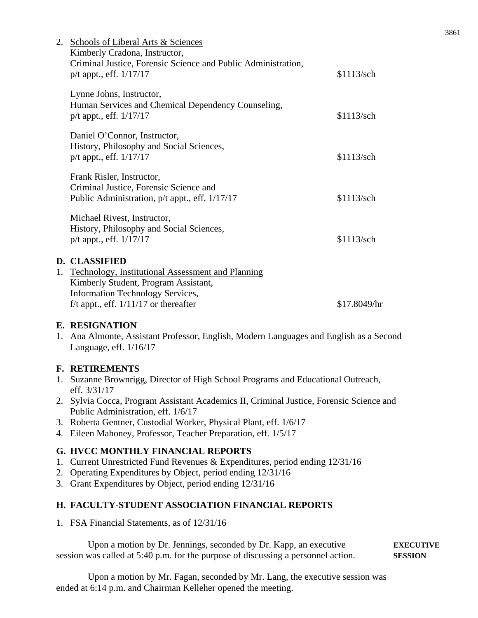| 2. | Schools of Liberal Arts & Sciences                                       |            |
|----|--------------------------------------------------------------------------|------------|
|    | Kimberly Cradona, Instructor,                                            |            |
|    | Criminal Justice, Forensic Science and Public Administration,            |            |
|    | $p/t$ appt., eff. $1/17/17$                                              | \$1113/sch |
|    | Lynne Johns, Instructor,                                                 |            |
|    | Human Services and Chemical Dependency Counseling,                       |            |
|    | $p/t$ appt., eff. $1/17/17$                                              | \$1113/sch |
|    |                                                                          |            |
|    | Daniel O'Connor, Instructor,<br>History, Philosophy and Social Sciences, |            |
|    | $p/t$ appt., eff. $1/17/17$                                              | \$1113/sch |
|    |                                                                          |            |
|    | Frank Risler, Instructor,                                                |            |
|    | Criminal Justice, Forensic Science and                                   |            |
|    | Public Administration, p/t appt., eff. 1/17/17                           | \$1113/sch |
|    | Michael Rivest, Instructor,                                              |            |
|    | History, Philosophy and Social Sciences,                                 |            |
|    | $p/t$ appt., eff. $1/17/17$                                              | \$1113/sch |
|    |                                                                          |            |
|    | <b>D. CLASSIFIED</b>                                                     |            |
| 1. | Technology, Institutional Assessment and Planning                        |            |
|    | Kimberly Student, Program Assistant,                                     |            |

Kimberly Student, Program Assistant, Information Technology Services, f/t appt., eff.  $1/11/17$  or thereafter \$17.8049/hr

### **E. RESIGNATION**

1. Ana Almonte, Assistant Professor, English, Modern Languages and English as a Second Language, eff. 1/16/17

### **F. RETIREMENTS**

- 1. Suzanne Brownrigg, Director of High School Programs and Educational Outreach, eff. 3/31/17
- 2. Sylvia Cocca, Program Assistant Academics II, Criminal Justice, Forensic Science and Public Administration, eff. 1/6/17
- 3. Roberta Gentner, Custodial Worker, Physical Plant, eff. 1/6/17
- 4. Eileen Mahoney, Professor, Teacher Preparation, eff. 1/5/17

### **G. HVCC MONTHLY FINANCIAL REPORTS**

- 1. Current Unrestricted Fund Revenues & Expenditures, period ending 12/31/16
- 2. Operating Expenditures by Object, period ending 12/31/16
- 3. Grant Expenditures by Object, period ending 12/31/16

### **H. FACULTY-STUDENT ASSOCIATION FINANCIAL REPORTS**

1. FSA Financial Statements, as of 12/31/16

Upon a motion by Dr. Jennings, seconded by Dr. Kapp, an executive **EXECUTIVE**  session was called at 5:40 p.m. for the purpose of discussing a personnel action. **SESSION**

Upon a motion by Mr. Fagan, seconded by Mr. Lang, the executive session was ended at 6:14 p.m. and Chairman Kelleher opened the meeting.